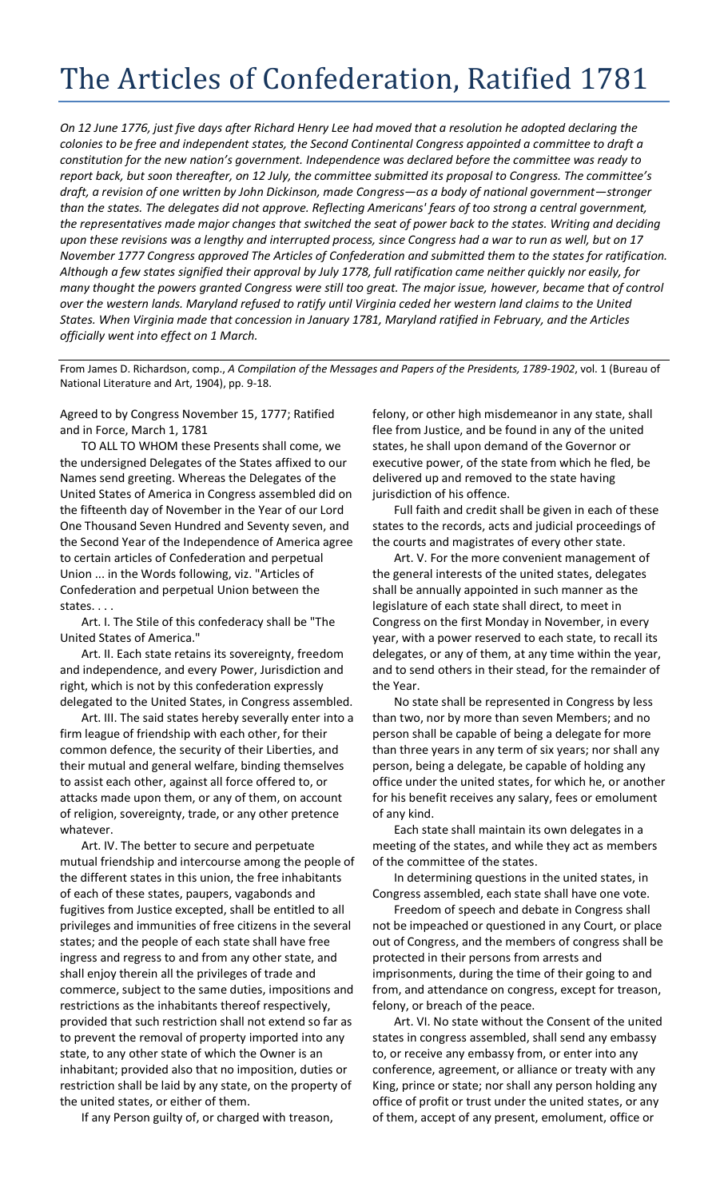## The Articles of Confederation, Ratified 1781

*On 12 June 1776, just five days after Richard Henry Lee had moved that a resolution he adopted declaring the colonies to be free and independent states, the Second Continental Congress appointed a committee to draft a constitution for the new nation's government. Independence was declared before the committee was ready to report back, but soon thereafter, on 12 July, the committee submitted its proposal to Congress. The committee's draft, a revision of one written by John Dickinson, made Congress—as a body of national government—stronger than the states. The delegates did not approve. Reflecting Americans' fears of too strong a central government, the representatives made major changes that switched the seat of power back to the states. Writing and deciding upon these revisions was a lengthy and interrupted process, since Congress had a war to run as well, but on 17 November 1777 Congress approved The Articles of Confederation and submitted them to the states for ratification. Although a few states signified their approval by July 1778, full ratification came neither quickly nor easily, for many thought the powers granted Congress were still too great. The major issue, however, became that of control over the western lands. Maryland refused to ratify until Virginia ceded her western land claims to the United States. When Virginia made that concession in January 1781, Maryland ratified in February, and the Articles officially went into effect on 1 March.*

From James D. Richardson, comp., *A Compilation of the Messages and Papers of the Presidents, 1789-1902*, vol. 1 (Bureau of National Literature and Art, 1904), pp. 9-18.

Agreed to by Congress November 15, 1777; Ratified and in Force, March 1, 1781

TO ALL TO WHOM these Presents shall come, we the undersigned Delegates of the States affixed to our Names send greeting. Whereas the Delegates of the United States of America in Congress assembled did on the fifteenth day of November in the Year of our Lord One Thousand Seven Hundred and Seventy seven, and the Second Year of the Independence of America agree to certain articles of Confederation and perpetual Union ... in the Words following, viz. "Articles of Confederation and perpetual Union between the states. . . .

Art. I. The Stile of this confederacy shall be "The United States of America."

Art. II. Each state retains its sovereignty, freedom and independence, and every Power, Jurisdiction and right, which is not by this confederation expressly delegated to the United States, in Congress assembled.

Art. III. The said states hereby severally enter into a firm league of friendship with each other, for their common defence, the security of their Liberties, and their mutual and general welfare, binding themselves to assist each other, against all force offered to, or attacks made upon them, or any of them, on account of religion, sovereignty, trade, or any other pretence whatever.

Art. IV. The better to secure and perpetuate mutual friendship and intercourse among the people of the different states in this union, the free inhabitants of each of these states, paupers, vagabonds and fugitives from Justice excepted, shall be entitled to all privileges and immunities of free citizens in the several states; and the people of each state shall have free ingress and regress to and from any other state, and shall enjoy therein all the privileges of trade and commerce, subject to the same duties, impositions and restrictions as the inhabitants thereof respectively, provided that such restriction shall not extend so far as to prevent the removal of property imported into any state, to any other state of which the Owner is an inhabitant; provided also that no imposition, duties or restriction shall be laid by any state, on the property of the united states, or either of them.

If any Person guilty of, or charged with treason,

felony, or other high misdemeanor in any state, shall flee from Justice, and be found in any of the united states, he shall upon demand of the Governor or executive power, of the state from which he fled, be delivered up and removed to the state having jurisdiction of his offence.

Full faith and credit shall be given in each of these states to the records, acts and judicial proceedings of the courts and magistrates of every other state.

Art. V. For the more convenient management of the general interests of the united states, delegates shall be annually appointed in such manner as the legislature of each state shall direct, to meet in Congress on the first Monday in November, in every year, with a power reserved to each state, to recall its delegates, or any of them, at any time within the year, and to send others in their stead, for the remainder of the Year.

No state shall be represented in Congress by less than two, nor by more than seven Members; and no person shall be capable of being a delegate for more than three years in any term of six years; nor shall any person, being a delegate, be capable of holding any office under the united states, for which he, or another for his benefit receives any salary, fees or emolument of any kind.

Each state shall maintain its own delegates in a meeting of the states, and while they act as members of the committee of the states.

In determining questions in the united states, in Congress assembled, each state shall have one vote.

Freedom of speech and debate in Congress shall not be impeached or questioned in any Court, or place out of Congress, and the members of congress shall be protected in their persons from arrests and imprisonments, during the time of their going to and from, and attendance on congress, except for treason, felony, or breach of the peace.

Art. VI. No state without the Consent of the united states in congress assembled, shall send any embassy to, or receive any embassy from, or enter into any conference, agreement, or alliance or treaty with any King, prince or state; nor shall any person holding any office of profit or trust under the united states, or any of them, accept of any present, emolument, office or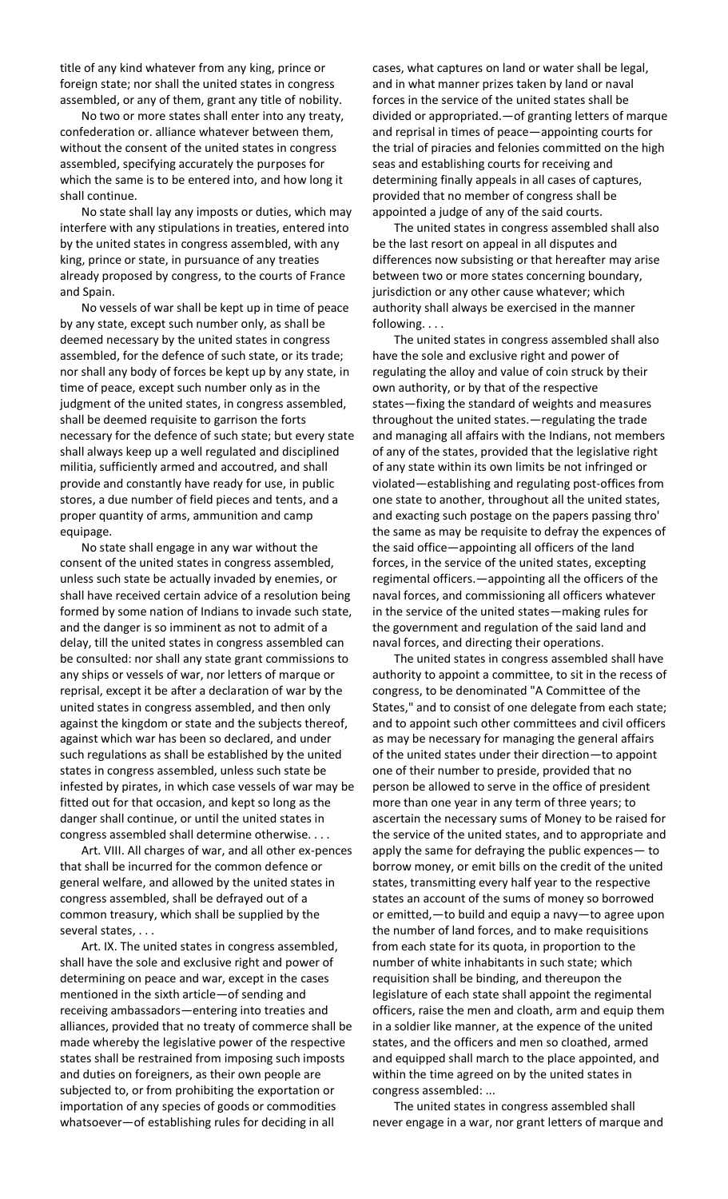title of any kind whatever from any king, prince or foreign state; nor shall the united states in congress assembled, or any of them, grant any title of nobility.

No two or more states shall enter into any treaty, confederation or. alliance whatever between them, without the consent of the united states in congress assembled, specifying accurately the purposes for which the same is to be entered into, and how long it shall continue.

No state shall lay any imposts or duties, which may interfere with any stipulations in treaties, entered into by the united states in congress assembled, with any king, prince or state, in pursuance of any treaties already proposed by congress, to the courts of France and Spain.

No vessels of war shall be kept up in time of peace by any state, except such number only, as shall be deemed necessary by the united states in congress assembled, for the defence of such state, or its trade; nor shall any body of forces be kept up by any state, in time of peace, except such number only as in the judgment of the united states, in congress assembled, shall be deemed requisite to garrison the forts necessary for the defence of such state; but every state shall always keep up a well regulated and disciplined militia, sufficiently armed and accoutred, and shall provide and constantly have ready for use, in public stores, a due number of field pieces and tents, and a proper quantity of arms, ammunition and camp equipage.

No state shall engage in any war without the consent of the united states in congress assembled, unless such state be actually invaded by enemies, or shall have received certain advice of a resolution being formed by some nation of Indians to invade such state, and the danger is so imminent as not to admit of a delay, till the united states in congress assembled can be consulted: nor shall any state grant commissions to any ships or vessels of war, nor letters of marque or reprisal, except it be after a declaration of war by the united states in congress assembled, and then only against the kingdom or state and the subjects thereof, against which war has been so declared, and under such regulations as shall be established by the united states in congress assembled, unless such state be infested by pirates, in which case vessels of war may be fitted out for that occasion, and kept so long as the danger shall continue, or until the united states in congress assembled shall determine otherwise. . . .

Art. VIII. All charges of war, and all other ex-pences that shall be incurred for the common defence or general welfare, and allowed by the united states in congress assembled, shall be defrayed out of a common treasury, which shall be supplied by the several states, . . .

Art. IX. The united states in congress assembled, shall have the sole and exclusive right and power of determining on peace and war, except in the cases mentioned in the sixth article—of sending and receiving ambassadors—entering into treaties and alliances, provided that no treaty of commerce shall be made whereby the legislative power of the respective states shall be restrained from imposing such imposts and duties on foreigners, as their own people are subjected to, or from prohibiting the exportation or importation of any species of goods or commodities whatsoever—of establishing rules for deciding in all

cases, what captures on land or water shall be legal, and in what manner prizes taken by land or naval forces in the service of the united states shall be divided or appropriated.—of granting letters of marque and reprisal in times of peace—appointing courts for the trial of piracies and felonies committed on the high seas and establishing courts for receiving and determining finally appeals in all cases of captures, provided that no member of congress shall be appointed a judge of any of the said courts.

The united states in congress assembled shall also be the last resort on appeal in all disputes and differences now subsisting or that hereafter may arise between two or more states concerning boundary, jurisdiction or any other cause whatever; which authority shall always be exercised in the manner following. . . .

The united states in congress assembled shall also have the sole and exclusive right and power of regulating the alloy and value of coin struck by their own authority, or by that of the respective states—fixing the standard of weights and measures throughout the united states.—regulating the trade and managing all affairs with the Indians, not members of any of the states, provided that the legislative right of any state within its own limits be not infringed or violated—establishing and regulating post-offices from one state to another, throughout all the united states, and exacting such postage on the papers passing thro' the same as may be requisite to defray the expences of the said office—appointing all officers of the land forces, in the service of the united states, excepting regimental officers.—appointing all the officers of the naval forces, and commissioning all officers whatever in the service of the united states—making rules for the government and regulation of the said land and naval forces, and directing their operations.

The united states in congress assembled shall have authority to appoint a committee, to sit in the recess of congress, to be denominated "A Committee of the States," and to consist of one delegate from each state; and to appoint such other committees and civil officers as may be necessary for managing the general affairs of the united states under their direction—to appoint one of their number to preside, provided that no person be allowed to serve in the office of president more than one year in any term of three years; to ascertain the necessary sums of Money to be raised for the service of the united states, and to appropriate and apply the same for defraying the public expences— to borrow money, or emit bills on the credit of the united states, transmitting every half year to the respective states an account of the sums of money so borrowed or emitted,—to build and equip a navy—to agree upon the number of land forces, and to make requisitions from each state for its quota, in proportion to the number of white inhabitants in such state; which requisition shall be binding, and thereupon the legislature of each state shall appoint the regimental officers, raise the men and cloath, arm and equip them in a soldier like manner, at the expence of the united states, and the officers and men so cloathed, armed and equipped shall march to the place appointed, and within the time agreed on by the united states in congress assembled: ...

The united states in congress assembled shall never engage in a war, nor grant letters of marque and